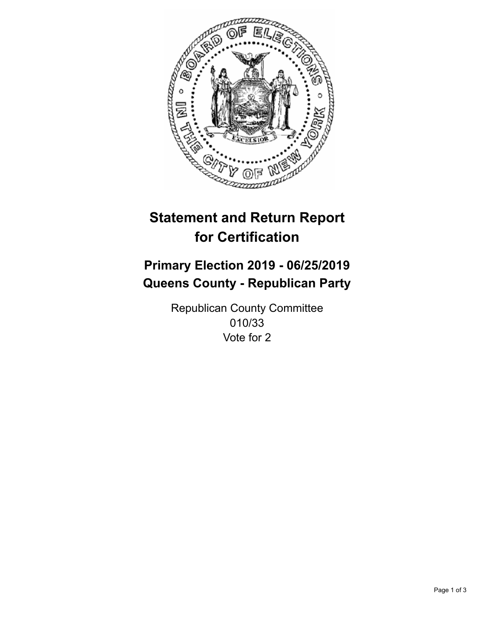

## **Statement and Return Report for Certification**

## **Primary Election 2019 - 06/25/2019 Queens County - Republican Party**

Republican County Committee 010/33 Vote for 2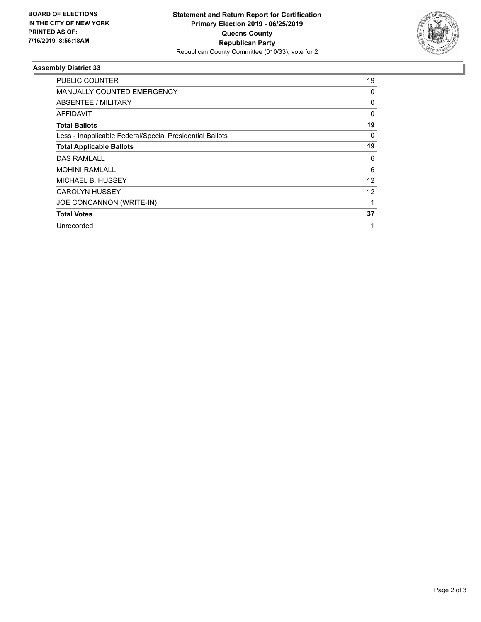

## **Assembly District 33**

| <b>PUBLIC COUNTER</b>                                    | 19 |
|----------------------------------------------------------|----|
| MANUALLY COUNTED EMERGENCY                               | 0  |
| ABSENTEE / MILITARY                                      | 0  |
| <b>AFFIDAVIT</b>                                         | 0  |
| <b>Total Ballots</b>                                     | 19 |
| Less - Inapplicable Federal/Special Presidential Ballots | 0  |
| <b>Total Applicable Ballots</b>                          | 19 |
| <b>DAS RAMLALL</b>                                       | 6  |
| <b>MOHINI RAMLALL</b>                                    | 6  |
| MICHAEL B. HUSSEY                                        | 12 |
| <b>CAROLYN HUSSEY</b>                                    | 12 |
| JOE CONCANNON (WRITE-IN)                                 |    |
| <b>Total Votes</b>                                       | 37 |
| Unrecorded                                               | 1  |